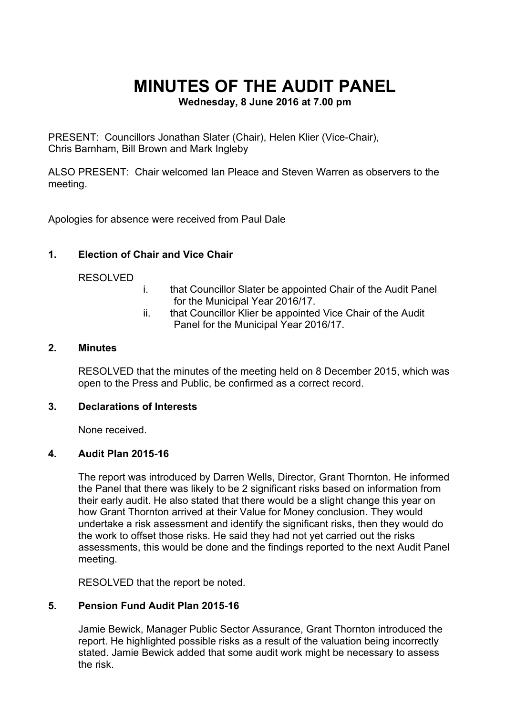# **MINUTES OF THE AUDIT PANEL**

**Wednesday, 8 June 2016 at 7.00 pm**

PRESENT: Councillors Jonathan Slater (Chair), Helen Klier (Vice-Chair), Chris Barnham, Bill Brown and Mark Ingleby

ALSO PRESENT: Chair welcomed Ian Pleace and Steven Warren as observers to the meeting.

Apologies for absence were received from Paul Dale

### **1. Election of Chair and Vice Chair**

#### RESOLVED

- i. that Councillor Slater be appointed Chair of the Audit Panel for the Municipal Year 2016/17.
- ii. that Councillor Klier be appointed Vice Chair of the Audit Panel for the Municipal Year 2016/17.

#### **2. Minutes**

RESOLVED that the minutes of the meeting held on 8 December 2015, which was open to the Press and Public, be confirmed as a correct record.

#### **3. Declarations of Interests**

None received.

#### **4. Audit Plan 2015-16**

The report was introduced by Darren Wells, Director, Grant Thornton. He informed the Panel that there was likely to be 2 significant risks based on information from their early audit. He also stated that there would be a slight change this year on how Grant Thornton arrived at their Value for Money conclusion. They would undertake a risk assessment and identify the significant risks, then they would do the work to offset those risks. He said they had not yet carried out the risks assessments, this would be done and the findings reported to the next Audit Panel meeting.

RESOLVED that the report be noted.

#### **5. Pension Fund Audit Plan 2015-16**

Jamie Bewick, Manager Public Sector Assurance, Grant Thornton introduced the report. He highlighted possible risks as a result of the valuation being incorrectly stated. Jamie Bewick added that some audit work might be necessary to assess the risk.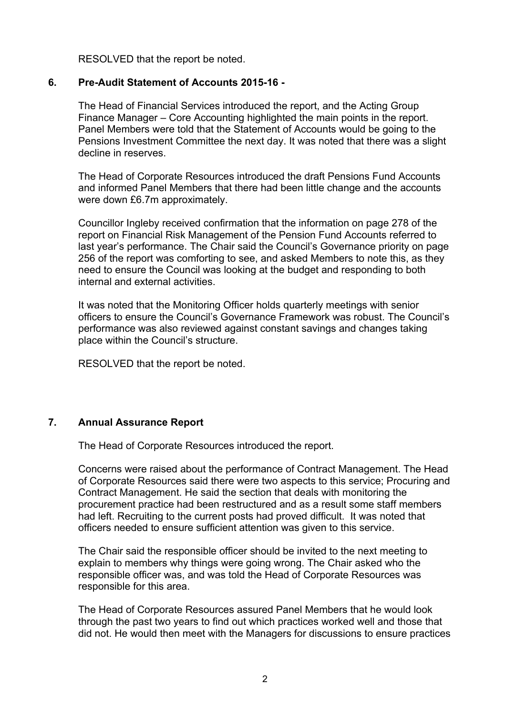RESOLVED that the report be noted.

#### **6. Pre-Audit Statement of Accounts 2015-16 -**

The Head of Financial Services introduced the report, and the Acting Group Finance Manager – Core Accounting highlighted the main points in the report. Panel Members were told that the Statement of Accounts would be going to the Pensions Investment Committee the next day. It was noted that there was a slight decline in reserves.

The Head of Corporate Resources introduced the draft Pensions Fund Accounts and informed Panel Members that there had been little change and the accounts were down £6.7m approximately.

Councillor Ingleby received confirmation that the information on page 278 of the report on Financial Risk Management of the Pension Fund Accounts referred to last year's performance. The Chair said the Council's Governance priority on page 256 of the report was comforting to see, and asked Members to note this, as they need to ensure the Council was looking at the budget and responding to both internal and external activities.

It was noted that the Monitoring Officer holds quarterly meetings with senior officers to ensure the Council's Governance Framework was robust. The Council's performance was also reviewed against constant savings and changes taking place within the Council's structure.

RESOLVED that the report be noted.

#### **7. Annual Assurance Report**

The Head of Corporate Resources introduced the report.

Concerns were raised about the performance of Contract Management. The Head of Corporate Resources said there were two aspects to this service; Procuring and Contract Management. He said the section that deals with monitoring the procurement practice had been restructured and as a result some staff members had left. Recruiting to the current posts had proved difficult. It was noted that officers needed to ensure sufficient attention was given to this service.

The Chair said the responsible officer should be invited to the next meeting to explain to members why things were going wrong. The Chair asked who the responsible officer was, and was told the Head of Corporate Resources was responsible for this area.

The Head of Corporate Resources assured Panel Members that he would look through the past two years to find out which practices worked well and those that did not. He would then meet with the Managers for discussions to ensure practices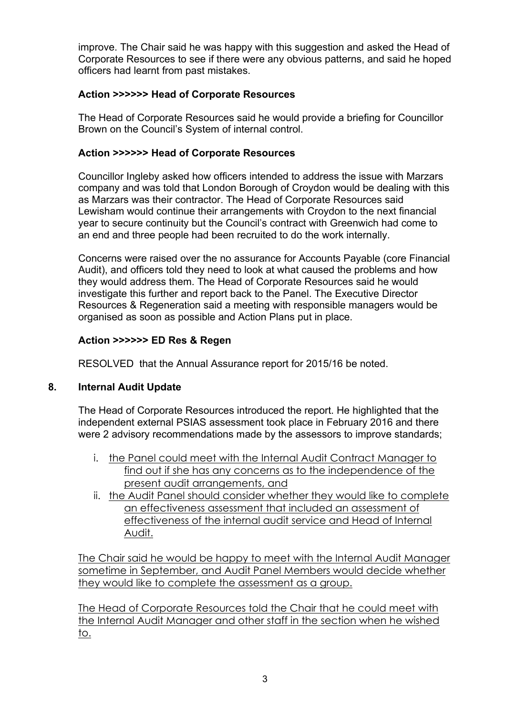improve. The Chair said he was happy with this suggestion and asked the Head of Corporate Resources to see if there were any obvious patterns, and said he hoped officers had learnt from past mistakes.

## **Action >>>>>> Head of Corporate Resources**

The Head of Corporate Resources said he would provide a briefing for Councillor Brown on the Council's System of internal control.

# **Action >>>>>> Head of Corporate Resources**

Councillor Ingleby asked how officers intended to address the issue with Marzars company and was told that London Borough of Croydon would be dealing with this as Marzars was their contractor. The Head of Corporate Resources said Lewisham would continue their arrangements with Croydon to the next financial year to secure continuity but the Council's contract with Greenwich had come to an end and three people had been recruited to do the work internally.

Concerns were raised over the no assurance for Accounts Payable (core Financial Audit), and officers told they need to look at what caused the problems and how they would address them. The Head of Corporate Resources said he would investigate this further and report back to the Panel. The Executive Director Resources & Regeneration said a meeting with responsible managers would be organised as soon as possible and Action Plans put in place.

# **Action >>>>>> ED Res & Regen**

RESOLVED that the Annual Assurance report for 2015/16 be noted.

# **8. Internal Audit Update**

The Head of Corporate Resources introduced the report. He highlighted that the independent external PSIAS assessment took place in February 2016 and there were 2 advisory recommendations made by the assessors to improve standards;

- i. the Panel could meet with the Internal Audit Contract Manager to find out if she has any concerns as to the independence of the present audit arrangements, and
- ii. the Audit Panel should consider whether they would like to complete an effectiveness assessment that included an assessment of effectiveness of the internal audit service and Head of Internal Audit.

The Chair said he would be happy to meet with the Internal Audit Manager sometime in September, and Audit Panel Members would decide whether they would like to complete the assessment as a group.

The Head of Corporate Resources told the Chair that he could meet with the Internal Audit Manager and other staff in the section when he wished to.